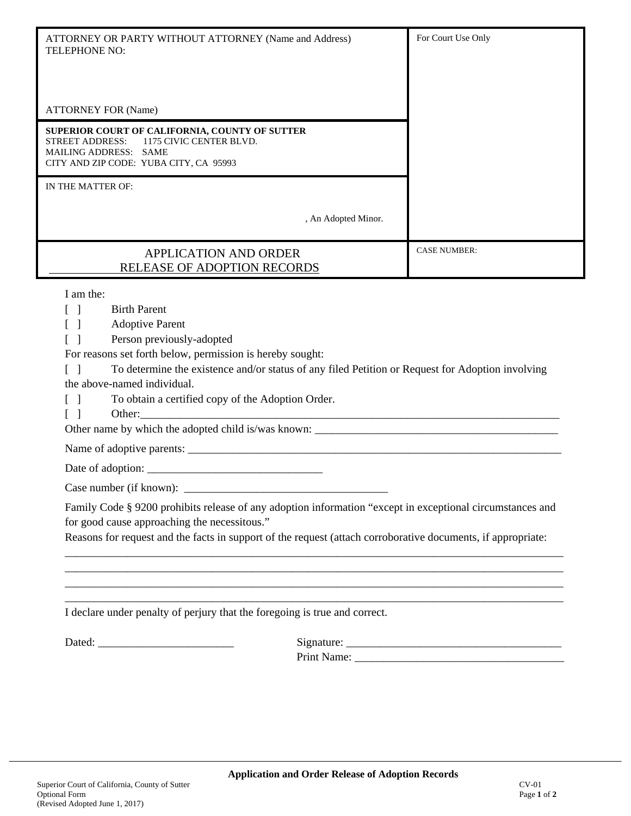| ATTORNEY OR PARTY WITHOUT ATTORNEY (Name and Address)<br><b>TELEPHONE NO:</b>                                                                                                                                                                       | For Court Use Only  |
|-----------------------------------------------------------------------------------------------------------------------------------------------------------------------------------------------------------------------------------------------------|---------------------|
|                                                                                                                                                                                                                                                     |                     |
|                                                                                                                                                                                                                                                     |                     |
| <b>ATTORNEY FOR (Name)</b>                                                                                                                                                                                                                          |                     |
| SUPERIOR COURT OF CALIFORNIA, COUNTY OF SUTTER<br><b>STREET ADDRESS:</b><br>1175 CIVIC CENTER BLVD.<br>MAILING ADDRESS: SAME<br>CITY AND ZIP CODE: YUBA CITY, CA 95993                                                                              |                     |
| IN THE MATTER OF:                                                                                                                                                                                                                                   |                     |
| , An Adopted Minor.                                                                                                                                                                                                                                 |                     |
| <b>APPLICATION AND ORDER</b><br>RELEASE OF ADOPTION RECORDS                                                                                                                                                                                         | <b>CASE NUMBER:</b> |
| I am the:                                                                                                                                                                                                                                           |                     |
| <b>Birth Parent</b><br>$\lceil \ \ \rceil$                                                                                                                                                                                                          |                     |
| <b>Adoptive Parent</b><br>$\lceil \; \rceil$                                                                                                                                                                                                        |                     |
| Person previously-adopted<br>$\lceil \; \rceil$                                                                                                                                                                                                     |                     |
| For reasons set forth below, permission is hereby sought:                                                                                                                                                                                           |                     |
| To determine the existence and/or status of any filed Petition or Request for Adoption involving<br>$\lceil$ 1                                                                                                                                      |                     |
| the above-named individual.                                                                                                                                                                                                                         |                     |
| To obtain a certified copy of the Adoption Order.<br>$\lceil$ 1                                                                                                                                                                                     |                     |
| $\lceil \; \rceil$<br>Other: contact the contact of the contact of the contact of the contact of the contact of the contact of the contact of the contact of the contact of the contact of the contact of the contact of the contact of the contact |                     |
|                                                                                                                                                                                                                                                     |                     |
|                                                                                                                                                                                                                                                     |                     |
|                                                                                                                                                                                                                                                     |                     |
|                                                                                                                                                                                                                                                     |                     |
| Family Code § 9200 prohibits release of any adoption information "except in exceptional circumstances and                                                                                                                                           |                     |
| for good cause approaching the necessitous."                                                                                                                                                                                                        |                     |
| Reasons for request and the facts in support of the request (attach corroborative documents, if appropriate:                                                                                                                                        |                     |
| <u> 1989 - Johann Stoff, deutscher Stoff, der Stoff, der Stoff, der Stoff, der Stoff, der Stoff, der Stoff, der S</u>                                                                                                                               |                     |
|                                                                                                                                                                                                                                                     |                     |
|                                                                                                                                                                                                                                                     |                     |
| <u> 1989 - Johann Harry Harry Harry Harry Harry Harry Harry Harry Harry Harry Harry Harry Harry Harry Harry Harry</u><br>I declare under penalty of perjury that the foregoing is true and correct.                                                 |                     |
|                                                                                                                                                                                                                                                     |                     |
|                                                                                                                                                                                                                                                     |                     |
|                                                                                                                                                                                                                                                     |                     |